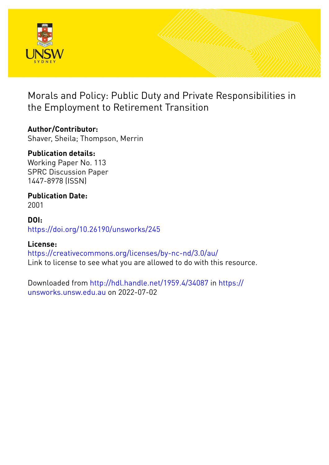

Morals and Policy: Public Duty and Private Responsibilities in the Employment to Retirement Transition

### **Author/Contributor:**

Shaver, Sheila; Thompson, Merrin

## **Publication details:**

Working Paper No. 113 SPRC Discussion Paper 1447-8978 (ISSN)

# **Publication Date:**

2001

#### **DOI:** [https://doi.org/10.26190/unsworks/245](http://dx.doi.org/https://doi.org/10.26190/unsworks/245)

#### **License:**

<https://creativecommons.org/licenses/by-nc-nd/3.0/au/> Link to license to see what you are allowed to do with this resource.

Downloaded from <http://hdl.handle.net/1959.4/34087> in [https://](https://unsworks.unsw.edu.au) [unsworks.unsw.edu.au](https://unsworks.unsw.edu.au) on 2022-07-02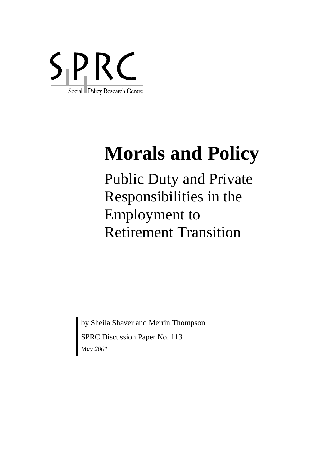

# **Morals and Policy**

Public Duty and Private Responsibilities in the Employment to Retirement Transition

by Sheila Shaver and Merrin Thompson

SPRC Discussion Paper No. 113 *May 2001*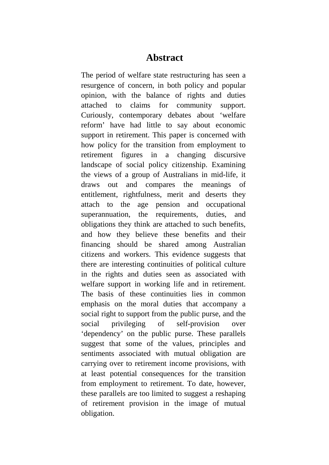### **Abstract**

The period of welfare state restructuring has seen a resurgence of concern, in both policy and popular opinion, with the balance of rights and duties attached to claims for community support. Curiously, contemporary debates about 'welfare reform' have had little to say about economic support in retirement. This paper is concerned with how policy for the transition from employment to retirement figures in a changing discursive landscape of social policy citizenship. Examining the views of a group of Australians in mid-life, it draws out and compares the meanings of entitlement, rightfulness, merit and deserts they attach to the age pension and occupational superannuation, the requirements, duties, and obligations they think are attached to such benefits, and how they believe these benefits and their financing should be shared among Australian citizens and workers. This evidence suggests that there are interesting continuities of political culture in the rights and duties seen as associated with welfare support in working life and in retirement. The basis of these continuities lies in common emphasis on the moral duties that accompany a social right to support from the public purse, and the social privileging of self-provision over 'dependency' on the public purse. These parallels suggest that some of the values, principles and sentiments associated with mutual obligation are carrying over to retirement income provisions, with at least potential consequences for the transition from employment to retirement. To date, however, these parallels are too limited to suggest a reshaping of retirement provision in the image of mutual obligation.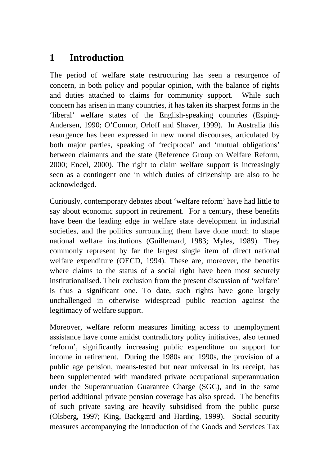# **1 Introduction**

The period of welfare state restructuring has seen a resurgence of concern, in both policy and popular opinion, with the balance of rights and duties attached to claims for community support. While such concern has arisen in many countries, it has taken its sharpest forms in the 'liberal' welfare states of the English-speaking countries (Esping-Andersen, 1990; O'Connor, Orloff and Shaver, 1999). In Australia this resurgence has been expressed in new moral discourses, articulated by both major parties, speaking of 'reciprocal' and 'mutual obligations' between claimants and the state (Reference Group on Welfare Reform, 2000; Encel, 2000). The right to claim welfare support is increasingly seen as a contingent one in which duties of citizenship are also to be acknowledged.

Curiously, contemporary debates about 'welfare reform' have had little to say about economic support in retirement. For a century, these benefits have been the leading edge in welfare state development in industrial societies, and the politics surrounding them have done much to shape national welfare institutions (Guillemard, 1983; Myles, 1989). They commonly represent by far the largest single item of direct national welfare expenditure (OECD, 1994). These are, moreover, the benefits where claims to the status of a social right have been most securely institutionalised. Their exclusion from the present discussion of 'welfare' is thus a significant one. To date, such rights have gone largely unchallenged in otherwise widespread public reaction against the legitimacy of welfare support.

Moreover, welfare reform measures limiting access to unemployment assistance have come amidst contradictory policy initiatives, also termed 'reform', significantly increasing public expenditure on support for income in retirement. During the 1980s and 1990s, the provision of a public age pension, means-tested but near universal in its receipt, has been supplemented with mandated private occupational superannuation under the Superannuation Guarantee Charge (SGC), and in the same period additional private pension coverage has also spread. The benefits of such private saving are heavily subsidised from the public purse (Olsberg, 1997; King, Backgærd and Harding, 1999). Social security measures accompanying the introduction of the Goods and Services Tax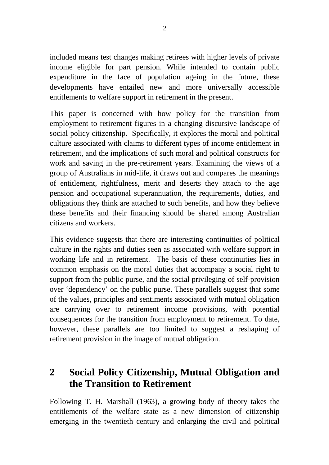included means test changes making retirees with higher levels of private income eligible for part pension. While intended to contain public expenditure in the face of population ageing in the future, these developments have entailed new and more universally accessible entitlements to welfare support in retirement in the present.

This paper is concerned with how policy for the transition from employment to retirement figures in a changing discursive landscape of social policy citizenship. Specifically, it explores the moral and political culture associated with claims to different types of income entitlement in retirement, and the implications of such moral and political constructs for work and saving in the pre-retirement years. Examining the views of a group of Australians in mid-life, it draws out and compares the meanings of entitlement, rightfulness, merit and deserts they attach to the age pension and occupational superannuation, the requirements, duties, and obligations they think are attached to such benefits, and how they believe these benefits and their financing should be shared among Australian citizens and workers.

This evidence suggests that there are interesting continuities of political culture in the rights and duties seen as associated with welfare support in working life and in retirement. The basis of these continuities lies in common emphasis on the moral duties that accompany a social right to support from the public purse, and the social privileging of self-provision over 'dependency' on the public purse. These parallels suggest that some of the values, principles and sentiments associated with mutual obligation are carrying over to retirement income provisions, with potential consequences for the transition from employment to retirement. To date, however, these parallels are too limited to suggest a reshaping of retirement provision in the image of mutual obligation.

## **2 Social Policy Citizenship, Mutual Obligation and the Transition to Retirement**

Following T. H. Marshall (1963), a growing body of theory takes the entitlements of the welfare state as a new dimension of citizenship emerging in the twentieth century and enlarging the civil and political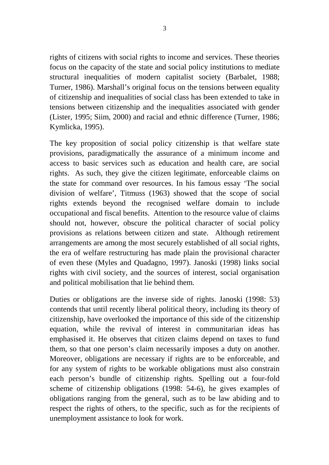rights of citizens with social rights to income and services. These theories focus on the capacity of the state and social policy institutions to mediate structural inequalities of modern capitalist society (Barbalet, 1988; Turner, 1986). Marshall's original focus on the tensions between equality of citizenship and inequalities of social class has been extended to take in tensions between citizenship and the inequalities associated with gender (Lister, 1995; Siim, 2000) and racial and ethnic difference (Turner, 1986; Kymlicka, 1995).

The key proposition of social policy citizenship is that welfare state provisions, paradigmatically the assurance of a minimum income and access to basic services such as education and health care, are social rights. As such, they give the citizen legitimate, enforceable claims on the state for command over resources. In his famous essay 'The social division of welfare', Titmuss (1963) showed that the scope of social rights extends beyond the recognised welfare domain to include occupational and fiscal benefits. Attention to the resource value of claims should not, however, obscure the political character of social policy provisions as relations between citizen and state. Although retirement arrangements are among the most securely established of all social rights, the era of welfare restructuring has made plain the provisional character of even these (Myles and Quadagno, 1997). Janoski (1998) links social rights with civil society, and the sources of interest, social organisation and political mobilisation that lie behind them.

Duties or obligations are the inverse side of rights. Janoski (1998: 53) contends that until recently liberal political theory, including its theory of citizenship, have overlooked the importance of this side of the citizenship equation, while the revival of interest in communitarian ideas has emphasised it. He observes that citizen claims depend on taxes to fund them, so that one person's claim necessarily imposes a duty on another. Moreover, obligations are necessary if rights are to be enforceable, and for any system of rights to be workable obligations must also constrain each person's bundle of citizenship rights. Spelling out a four-fold scheme of citizenship obligations (1998: 54-6), he gives examples of obligations ranging from the general, such as to be law abiding and to respect the rights of others, to the specific, such as for the recipients of unemployment assistance to look for work.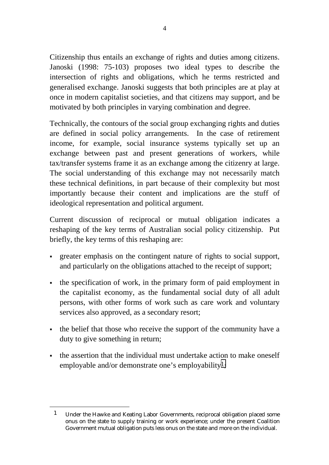Citizenship thus entails an exchange of rights and duties among citizens. Janoski (1998: 75-103) proposes two ideal types to describe the intersection of rights and obligations, which he terms restricted and generalised exchange. Janoski suggests that both principles are at play at once in modern capitalist societies, and that citizens may support, and be motivated by both principles in varying combination and degree.

Technically, the contours of the social group exchanging rights and duties are defined in social policy arrangements. In the case of retirement income, for example, social insurance systems typically set up an exchange between past and present generations of workers, while tax/transfer systems frame it as an exchange among the citizenry at large. The social understanding of this exchange may not necessarily match these technical definitions, in part because of their complexity but most importantly because their content and implications are the stuff of ideological representation and political argument.

Current discussion of reciprocal or mutual obligation indicates a reshaping of the key terms of Australian social policy citizenship. Put briefly, the key terms of this reshaping are:

- greater emphasis on the contingent nature of rights to social support, and particularly on the obligations attached to the receipt of support;
- the specification of work, in the primary form of paid employment in the capitalist economy, as the fundamental social duty of all adult persons, with other forms of work such as care work and voluntary services also approved, as a secondary resort;
- the belief that those who receive the support of the community have a duty to give something in return;
- the assertion that the individual must undertake action to make oneself employable and/or demonstrate one's employability<sup>1</sup>;

l

<sup>1</sup> Under the Hawke and Keating Labor Governments, reciprocal obligation placed some onus on the state to supply training or work experience; under the present Coalition Government mutual obligation puts less onus on the state and more on the individual.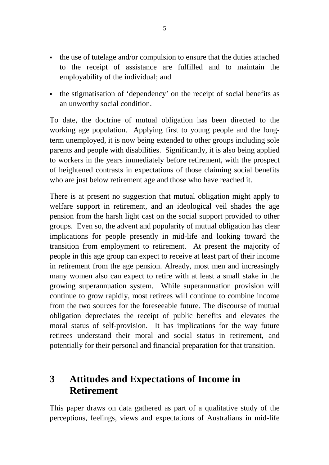- the use of tutelage and/or compulsion to ensure that the duties attached to the receipt of assistance are fulfilled and to maintain the employability of the individual; and
- the stigmatisation of 'dependency' on the receipt of social benefits as an unworthy social condition.

To date, the doctrine of mutual obligation has been directed to the working age population. Applying first to young people and the longterm unemployed, it is now being extended to other groups including sole parents and people with disabilities. Significantly, it is also being applied to workers in the years immediately before retirement, with the prospect of heightened contrasts in expectations of those claiming social benefits who are just below retirement age and those who have reached it.

There is at present no suggestion that mutual obligation might apply to welfare support in retirement, and an ideological veil shades the age pension from the harsh light cast on the social support provided to other groups. Even so, the advent and popularity of mutual obligation has clear implications for people presently in mid-life and looking toward the transition from employment to retirement. At present the majority of people in this age group can expect to receive at least part of their income in retirement from the age pension. Already, most men and increasingly many women also can expect to retire with at least a small stake in the growing superannuation system. While superannuation provision will continue to grow rapidly, most retirees will continue to combine income from the two sources for the foreseeable future. The discourse of mutual obligation depreciates the receipt of public benefits and elevates the moral status of self-provision. It has implications for the way future retirees understand their moral and social status in retirement, and potentially for their personal and financial preparation for that transition.

# **3 Attitudes and Expectations of Income in Retirement**

This paper draws on data gathered as part of a qualitative study of the perceptions, feelings, views and expectations of Australians in mid-life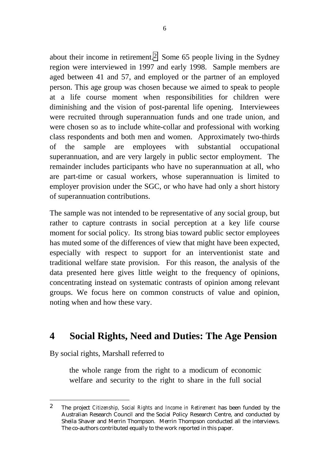about their income in retirement.2 Some 65 people living in the Sydney region were interviewed in 1997 and early 1998. Sample members are aged between 41 and 57, and employed or the partner of an employed person. This age group was chosen because we aimed to speak to people at a life course moment when responsibilities for children were diminishing and the vision of post-parental life opening. Interviewees were recruited through superannuation funds and one trade union, and were chosen so as to include white-collar and professional with working class respondents and both men and women. Approximately two-thirds of the sample are employees with substantial occupational superannuation, and are very largely in public sector employment. The remainder includes participants who have no superannuation at all, who are part-time or casual workers, whose superannuation is limited to employer provision under the SGC, or who have had only a short history of superannuation contributions.

The sample was not intended to be representative of any social group, but rather to capture contrasts in social perception at a key life course moment for social policy. Its strong bias toward public sector employees has muted some of the differences of view that might have been expected, especially with respect to support for an interventionist state and traditional welfare state provision. For this reason, the analysis of the data presented here gives little weight to the frequency of opinions, concentrating instead on systematic contrasts of opinion among relevant groups. We focus here on common constructs of value and opinion, noting when and how these vary.

## **4 Social Rights, Need and Duties: The Age Pension**

By social rights, Marshall referred to

l

the whole range from the right to a modicum of economic welfare and security to the right to share in the full social

<sup>2</sup> The project *Citizenship, Social Rights and Income in Retirement* has been funded by the Australian Research Council and the Social Policy Research Centre, and conducted by Sheila Shaver and Merrin Thompson. Merrin Thompson conducted all the interviews. The co-authors contributed equally to the work reported in this paper.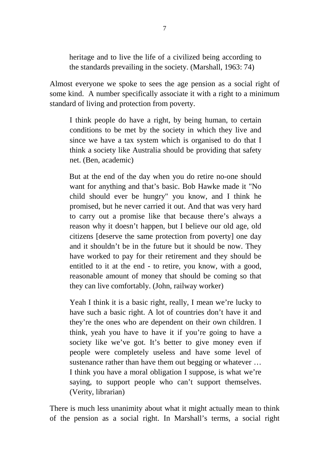heritage and to live the life of a civilized being according to the standards prevailing in the society. (Marshall, 1963: 74)

Almost everyone we spoke to sees the age pension as a social right of some kind. A number specifically associate it with a right to a minimum standard of living and protection from poverty.

I think people do have a right, by being human, to certain conditions to be met by the society in which they live and since we have a tax system which is organised to do that I think a society like Australia should be providing that safety net. (Ben, academic)

But at the end of the day when you do retire no-one should want for anything and that's basic. Bob Hawke made it "No child should ever be hungry" you know, and I think he promised, but he never carried it out. And that was very hard to carry out a promise like that because there's always a reason why it doesn't happen, but I believe our old age, old citizens [deserve the same protection from poverty] one day and it shouldn't be in the future but it should be now. They have worked to pay for their retirement and they should be entitled to it at the end - to retire, you know, with a good, reasonable amount of money that should be coming so that they can live comfortably. (John, railway worker)

Yeah I think it is a basic right, really, I mean we're lucky to have such a basic right. A lot of countries don't have it and they're the ones who are dependent on their own children. I think, yeah you have to have it if you're going to have a society like we've got. It's better to give money even if people were completely useless and have some level of sustenance rather than have them out begging or whatever … I think you have a moral obligation I suppose, is what we're saying, to support people who can't support themselves. (Verity, librarian)

There is much less unanimity about what it might actually mean to think of the pension as a social right. In Marshall's terms, a social right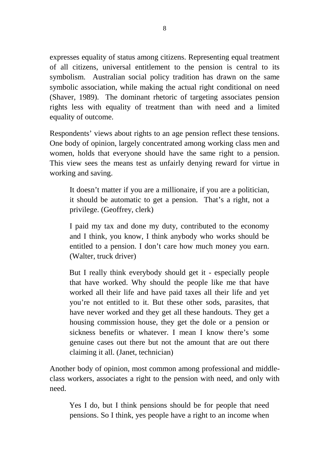expresses equality of status among citizens. Representing equal treatment of all citizens, universal entitlement to the pension is central to its symbolism. Australian social policy tradition has drawn on the same symbolic association, while making the actual right conditional on need (Shaver, 1989). The dominant rhetoric of targeting associates pension rights less with equality of treatment than with need and a limited equality of outcome.

Respondents' views about rights to an age pension reflect these tensions. One body of opinion, largely concentrated among working class men and women, holds that everyone should have the same right to a pension. This view sees the means test as unfairly denying reward for virtue in working and saving.

It doesn't matter if you are a millionaire, if you are a politician, it should be automatic to get a pension. That's a right, not a privilege. (Geoffrey, clerk)

I paid my tax and done my duty, contributed to the economy and I think, you know, I think anybody who works should be entitled to a pension. I don't care how much money you earn. (Walter, truck driver)

But I really think everybody should get it - especially people that have worked. Why should the people like me that have worked all their life and have paid taxes all their life and yet you're not entitled to it. But these other sods, parasites, that have never worked and they get all these handouts. They get a housing commission house, they get the dole or a pension or sickness benefits or whatever. I mean I know there's some genuine cases out there but not the amount that are out there claiming it all. (Janet, technician)

Another body of opinion, most common among professional and middleclass workers, associates a right to the pension with need, and only with need.

Yes I do, but I think pensions should be for people that need pensions. So I think, yes people have a right to an income when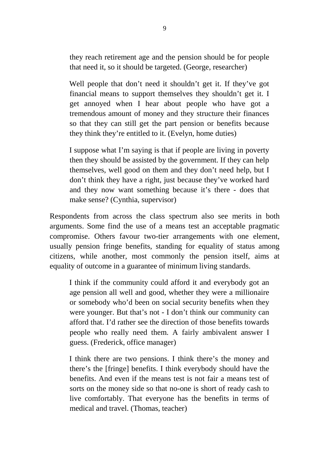they reach retirement age and the pension should be for people that need it, so it should be targeted. (George, researcher)

Well people that don't need it shouldn't get it. If they've got financial means to support themselves they shouldn't get it. I get annoyed when I hear about people who have got a tremendous amount of money and they structure their finances so that they can still get the part pension or benefits because they think they're entitled to it. (Evelyn, home duties)

I suppose what I'm saying is that if people are living in poverty then they should be assisted by the government. If they can help themselves, well good on them and they don't need help, but I don't think they have a right, just because they've worked hard and they now want something because it's there - does that make sense? (Cynthia, supervisor)

Respondents from across the class spectrum also see merits in both arguments. Some find the use of a means test an acceptable pragmatic compromise. Others favour two-tier arrangements with one element, usually pension fringe benefits, standing for equality of status among citizens, while another, most commonly the pension itself, aims at equality of outcome in a guarantee of minimum living standards.

I think if the community could afford it and everybody got an age pension all well and good, whether they were a millionaire or somebody who'd been on social security benefits when they were younger. But that's not - I don't think our community can afford that. I'd rather see the direction of those benefits towards people who really need them. A fairly ambivalent answer I guess. (Frederick, office manager)

I think there are two pensions. I think there's the money and there's the [fringe] benefits. I think everybody should have the benefits. And even if the means test is not fair a means test of sorts on the money side so that no-one is short of ready cash to live comfortably. That everyone has the benefits in terms of medical and travel. (Thomas, teacher)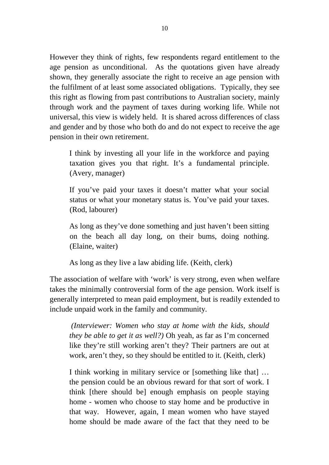However they think of rights, few respondents regard entitlement to the age pension as unconditional. As the quotations given have already shown, they generally associate the right to receive an age pension with the fulfilment of at least some associated obligations. Typically, they see this right as flowing from past contributions to Australian society, mainly through work and the payment of taxes during working life. While not universal, this view is widely held. It is shared across differences of class and gender and by those who both do and do not expect to receive the age pension in their own retirement.

I think by investing all your life in the workforce and paying taxation gives you that right. It's a fundamental principle. (Avery, manager)

If you've paid your taxes it doesn't matter what your social status or what your monetary status is. You've paid your taxes. (Rod, labourer)

As long as they've done something and just haven't been sitting on the beach all day long, on their bums, doing nothing. (Elaine, waiter)

As long as they live a law abiding life. (Keith, clerk)

The association of welfare with 'work' is very strong, even when welfare takes the minimally controversial form of the age pension. Work itself is generally interpreted to mean paid employment, but is readily extended to include unpaid work in the family and community.

 *(Interviewer: Women who stay at home with the kids, should they be able to get it as well?)* Oh yeah, as far as I'm concerned like they're still working aren't they? Their partners are out at work, aren't they, so they should be entitled to it. (Keith, clerk)

I think working in military service or [something like that] … the pension could be an obvious reward for that sort of work. I think [there should be] enough emphasis on people staying home - women who choose to stay home and be productive in that way. However, again, I mean women who have stayed home should be made aware of the fact that they need to be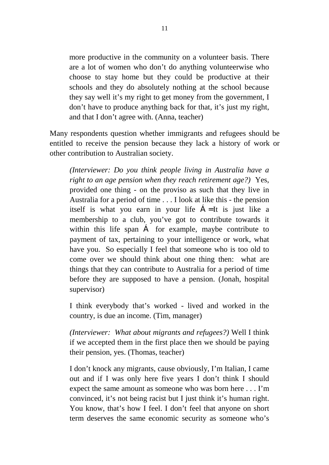more productive in the community on a volunteer basis. There are a lot of women who don't do anything volunteerwise who choose to stay home but they could be productive at their schools and they do absolutely nothing at the school because they say well it's my right to get money from the government, I don't have to produce anything back for that, it's just my right, and that I don't agree with. (Anna, teacher)

Many respondents question whether immigrants and refugees should be entitled to receive the pension because they lack a history of work or other contribution to Australian society.

*(Interviewer: Do you think people living in Australia have a right to an age pension when they reach retirement age?)* Yes, provided one thing - on the proviso as such that they live in Australia for a period of time . . . I look at like this - the pension itself is what you earn in your life Á= It is just like a membership to a club, you've got to contribute towards it within this life span Á for example, maybe contribute to payment of tax, pertaining to your intelligence or work, what have you. So especially I feel that someone who is too old to come over we should think about one thing then: what are things that they can contribute to Australia for a period of time before they are supposed to have a pension. (Jonah, hospital supervisor)

I think everybody that's worked - lived and worked in the country, is due an income. (Tim, manager)

*(Interviewer: What about migrants and refugees?)* Well I think if we accepted them in the first place then we should be paying their pension, yes. (Thomas, teacher)

I don't knock any migrants, cause obviously, I'm Italian, I came out and if I was only here five years I don't think I should expect the same amount as someone who was born here . . . I'm convinced, it's not being racist but I just think it's human right. You know, that's how I feel. I don't feel that anyone on short term deserves the same economic security as someone who's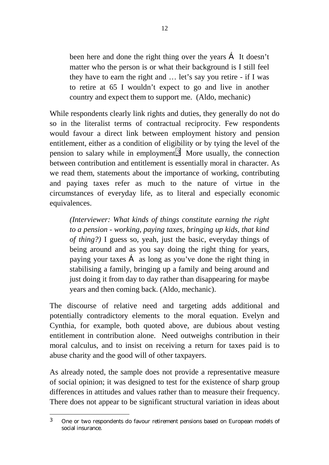been here and done the right thing over the years Á It doesn't matter who the person is or what their background is I still feel they have to earn the right and … let's say you retire - if I was to retire at 65 I wouldn't expect to go and live in another country and expect them to support me. (Aldo, mechanic)

While respondents clearly link rights and duties, they generally do not do so in the literalist terms of contractual reciprocity. Few respondents would favour a direct link between employment history and pension entitlement, either as a condition of eligibility or by tying the level of the pension to salary while in employment. 3 More usually, the connection between contribution and entitlement is essentially moral in character. As we read them, statements about the importance of working, contributing and paying taxes refer as much to the nature of virtue in the circumstances of everyday life, as to literal and especially economic equivalences.

*(Interviewer: What kinds of things constitute earning the right to a pension - working, paying taxes, bringing up kids, that kind of thing?)* I guess so, yeah, just the basic, everyday things of being around and as you say doing the right thing for years, paying your taxes Á as long as you've done the right thing in stabilising a family, bringing up a family and being around and just doing it from day to day rather than disappearing for maybe years and then coming back. (Aldo, mechanic).

The discourse of relative need and targeting adds additional and potentially contradictory elements to the moral equation. Evelyn and Cynthia, for example, both quoted above, are dubious about vesting entitlement in contribution alone. Need outweighs contribution in their moral calculus, and to insist on receiving a return for taxes paid is to abuse charity and the good will of other taxpayers.

As already noted, the sample does not provide a representative measure of social opinion; it was designed to test for the existence of sharp group differences in attitudes and values rather than to measure their frequency. There does not appear to be significant structural variation in ideas about

l

<sup>3</sup> One or two respondents do favour retirement pensions based on European models of social insurance.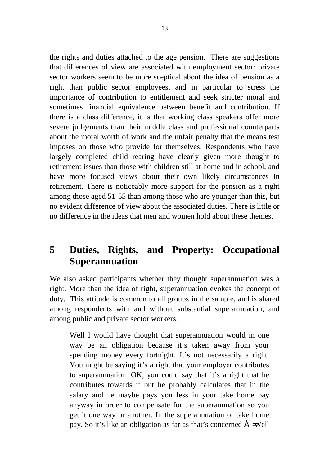the rights and duties attached to the age pension. There are suggestions that differences of view are associated with employment sector: private sector workers seem to be more sceptical about the idea of pension as a right than public sector employees, and in particular to stress the importance of contribution to entitlement and seek stricter moral and sometimes financial equivalence between benefit and contribution. If there is a class difference, it is that working class speakers offer more severe judgements than their middle class and professional counterparts about the moral worth of work and the unfair penalty that the means test imposes on those who provide for themselves. Respondents who have largely completed child rearing have clearly given more thought to retirement issues than those with children still at home and in school, and have more focused views about their own likely circumstances in retirement. There is noticeably more support for the pension as a right among those aged 51-55 than among those who are younger than this, but no evident difference of view about the associated duties. There is little or no difference in the ideas that men and women hold about these themes.

## **5 Duties, Rights, and Property: Occupational Superannuation**

We also asked participants whether they thought superannuation was a right. More than the idea of right, superannuation evokes the concept of duty. This attitude is common to all groups in the sample, and is shared among respondents with and without substantial superannuation, and among public and private sector workers.

Well I would have thought that superannuation would in one way be an obligation because it's taken away from your spending money every fortnight. It's not necessarily a right. You might be saying it's a right that your employer contributes to superannuation. OK, you could say that it's a right that he contributes towards it but he probably calculates that in the salary and he maybe pays you less in your take home pay anyway in order to compensate for the superannuation so you get it one way or another. In the superannuation or take home pay. So it's like an obligation as far as that's concerned Á=Well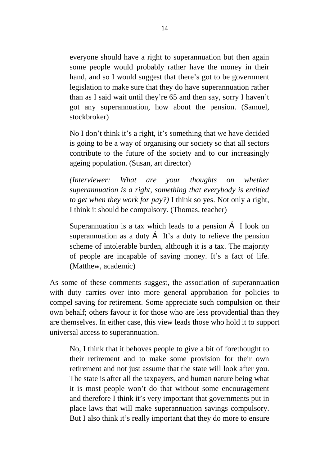everyone should have a right to superannuation but then again some people would probably rather have the money in their hand, and so I would suggest that there's got to be government legislation to make sure that they do have superannuation rather than as I said wait until they're 65 and then say, sorry I haven't got any superannuation, how about the pension. (Samuel, stockbroker)

No I don't think it's a right, it's something that we have decided is going to be a way of organising our society so that all sectors contribute to the future of the society and to our increasingly ageing population. (Susan, art director)

*(Interviewer: What are your thoughts on whether superannuation is a right, something that everybody is entitled to get when they work for pay?*) I think so yes. Not only a right, I think it should be compulsory. (Thomas, teacher)

Superannuation is a tax which leads to a pension Á I look on superannuation as a duty  $\hat{A}$  It's a duty to relieve the pension scheme of intolerable burden, although it is a tax. The majority of people are incapable of saving money. It's a fact of life. (Matthew, academic)

As some of these comments suggest, the association of superannuation with duty carries over into more general approbation for policies to compel saving for retirement. Some appreciate such compulsion on their own behalf; others favour it for those who are less providential than they are themselves. In either case, this view leads those who hold it to support universal access to superannuation.

No, I think that it behoves people to give a bit of forethought to their retirement and to make some provision for their own retirement and not just assume that the state will look after you. The state is after all the taxpayers, and human nature being what it is most people won't do that without some encouragement and therefore I think it's very important that governments put in place laws that will make superannuation savings compulsory. But I also think it's really important that they do more to ensure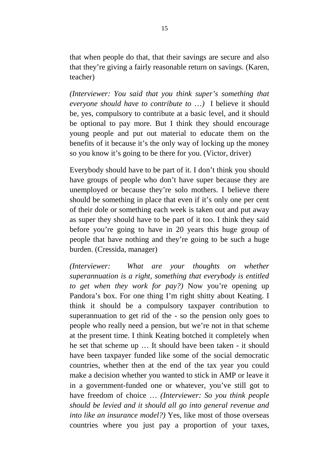that when people do that, that their savings are secure and also that they're giving a fairly reasonable return on savings. (Karen, teacher)

*(Interviewer: You said that you think super's something that everyone should have to contribute to* …*)* I believe it should be, yes, compulsory to contribute at a basic level, and it should be optional to pay more. But I think they should encourage young people and put out material to educate them on the benefits of it because it's the only way of locking up the money so you know it's going to be there for you. (Victor, driver)

Everybody should have to be part of it. I don't think you should have groups of people who don't have super because they are unemployed or because they're solo mothers. I believe there should be something in place that even if it's only one per cent of their dole or something each week is taken out and put away as super they should have to be part of it too. I think they said before you're going to have in 20 years this huge group of people that have nothing and they're going to be such a huge burden. (Cressida, manager)

*(Interviewer: What are your thoughts on whether superannuation is a right, something that everybody is entitled to get when they work for pay?)* Now you're opening up Pandora's box. For one thing I'm right shitty about Keating. I think it should be a compulsory taxpayer contribution to superannuation to get rid of the - so the pension only goes to people who really need a pension, but we're not in that scheme at the present time. I think Keating botched it completely when he set that scheme up … It should have been taken - it should have been taxpayer funded like some of the social democratic countries, whether then at the end of the tax year you could make a decision whether you wanted to stick in AMP or leave it in a government-funded one or whatever, you've still got to have freedom of choice … *(Interviewer: So you think people should be levied and it should all go into general revenue and into like an insurance model?)* Yes, like most of those overseas countries where you just pay a proportion of your taxes,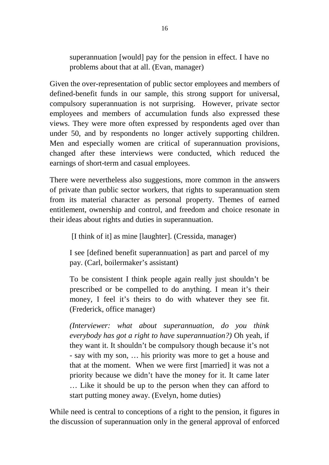superannuation [would] pay for the pension in effect. I have no problems about that at all. (Evan, manager)

Given the over-representation of public sector employees and members of defined-benefit funds in our sample, this strong support for universal, compulsory superannuation is not surprising. However, private sector employees and members of accumulation funds also expressed these views. They were more often expressed by respondents aged over than under 50, and by respondents no longer actively supporting children. Men and especially women are critical of superannuation provisions, changed after these interviews were conducted, which reduced the earnings of short-term and casual employees.

There were nevertheless also suggestions, more common in the answers of private than public sector workers, that rights to superannuation stem from its material character as personal property. Themes of earned entitlement, ownership and control, and freedom and choice resonate in their ideas about rights and duties in superannuation.

[I think of it] as mine [laughter]. (Cressida, manager)

I see [defined benefit superannuation] as part and parcel of my pay. (Carl, boilermaker's assistant)

To be consistent I think people again really just shouldn't be prescribed or be compelled to do anything. I mean it's their money, I feel it's theirs to do with whatever they see fit. (Frederick, office manager)

*(Interviewer: what about superannuation, do you think everybody has got a right to have superannuation?)* Oh yeah, if they want it. It shouldn't be compulsory though because it's not - say with my son, … his priority was more to get a house and that at the moment. When we were first [married] it was not a priority because we didn't have the money for it. It came later … Like it should be up to the person when they can afford to start putting money away. (Evelyn, home duties)

While need is central to conceptions of a right to the pension, it figures in the discussion of superannuation only in the general approval of enforced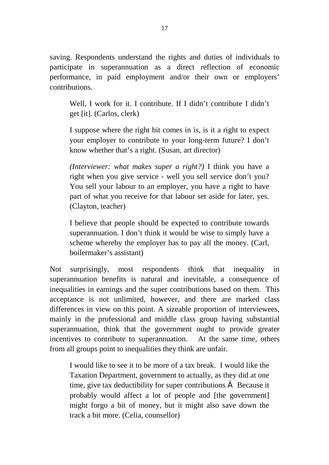saving. Respondents understand the rights and duties of individuals to participate in superannuation as a direct reflection of economic performance, in paid employment and/or their own or employers' contributions.

Well. I work for it. I contribute. If I didn't contribute I didn't get [it]. (Carlos, clerk)

I suppose where the right bit comes in is, is it a right to expect your employer to contribute to your long-term future? I don't know whether that's a right. (Susan, art director)

*(Interviewer: what makes super a right?)* I think you have a right when you give service - well you sell service don't you? You sell your labour to an employer, you have a right to have part of what you receive for that labour set aside for later, yes. (Clayton, teacher)

I believe that people should be expected to contribute towards superannuation. I don't think it would be wise to simply have a scheme whereby the employer has to pay all the money. (Carl, boilermaker's assistant)

Not surprisingly, most respondents think that inequality in superannuation benefits is natural and inevitable, a consequence of inequalities in earnings and the super contributions based on them. This acceptance is not unlimited, however, and there are marked class differences in view on this point. A sizeable proportion of interviewees, mainly in the professional and middle class group having substantial superannuation, think that the government ought to provide greater incentives to contribute to superannuation. At the same time, others from all groups point to inequalities they think are unfair.

I would like to see it to be more of a tax break. I would like the Taxation Department, government to actually, as they did at one time, give tax deductibility for super contributions Á Because it probably would affect a lot of people and [the government] might forgo a bit of money, but it might also save down the track a bit more. (Celia, counsellor)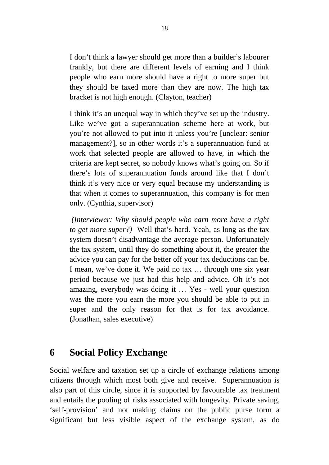I don't think a lawyer should get more than a builder's labourer frankly, but there are different levels of earning and I think people who earn more should have a right to more super but they should be taxed more than they are now. The high tax bracket is not high enough. (Clayton, teacher)

I think it's an unequal way in which they've set up the industry. Like we've got a superannuation scheme here at work, but you're not allowed to put into it unless you're [unclear: senior management?], so in other words it's a superannuation fund at work that selected people are allowed to have, in which the criteria are kept secret, so nobody knows what's going on. So if there's lots of superannuation funds around like that I don't think it's very nice or very equal because my understanding is that when it comes to superannuation, this company is for men only. (Cynthia, supervisor)

 *(Interviewer: Why should people who earn more have a right to get more super?)* Well that's hard. Yeah, as long as the tax system doesn't disadvantage the average person. Unfortunately the tax system, until they do something about it, the greater the advice you can pay for the better off your tax deductions can be. I mean, we've done it. We paid no tax … through one six year period because we just had this help and advice. Oh it's not amazing, everybody was doing it … Yes - well your question was the more you earn the more you should be able to put in super and the only reason for that is for tax avoidance. (Jonathan, sales executive)

## **6 Social Policy Exchange**

Social welfare and taxation set up a circle of exchange relations among citizens through which most both give and receive. Superannuation is also part of this circle, since it is supported by favourable tax treatment and entails the pooling of risks associated with longevity. Private saving, 'self-provision' and not making claims on the public purse form a significant but less visible aspect of the exchange system, as do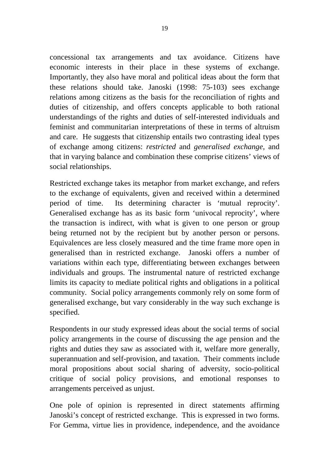concessional tax arrangements and tax avoidance. Citizens have economic interests in their place in these systems of exchange. Importantly, they also have moral and political ideas about the form that these relations should take. Janoski (1998: 75-103) sees exchange relations among citizens as the basis for the reconciliation of rights and duties of citizenship, and offers concepts applicable to both rational understandings of the rights and duties of self-interested individuals and feminist and communitarian interpretations of these in terms of altruism and care. He suggests that citizenship entails two contrasting ideal types of exchange among citizens: *restricted* and *generalised exchange,* and that in varying balance and combination these comprise citizens' views of social relationships.

Restricted exchange takes its metaphor from market exchange, and refers to the exchange of equivalents, given and received within a determined period of time. Its determining character is 'mutual reprocity'. Generalised exchange has as its basic form 'univocal reprocity', where the transaction is indirect, with what is given to one person or group being returned not by the recipient but by another person or persons. Equivalences are less closely measured and the time frame more open in generalised than in restricted exchange. Janoski offers a number of variations within each type, differentiating between exchanges between individuals and groups. The instrumental nature of restricted exchange limits its capacity to mediate political rights and obligations in a political community. Social policy arrangements commonly rely on some form of generalised exchange, but vary considerably in the way such exchange is specified.

Respondents in our study expressed ideas about the social terms of social policy arrangements in the course of discussing the age pension and the rights and duties they saw as associated with it, welfare more generally, superannuation and self-provision, and taxation. Their comments include moral propositions about social sharing of adversity, socio-political critique of social policy provisions, and emotional responses to arrangements perceived as unjust.

One pole of opinion is represented in direct statements affirming Janoski's concept of restricted exchange. This is expressed in two forms. For Gemma, virtue lies in providence, independence, and the avoidance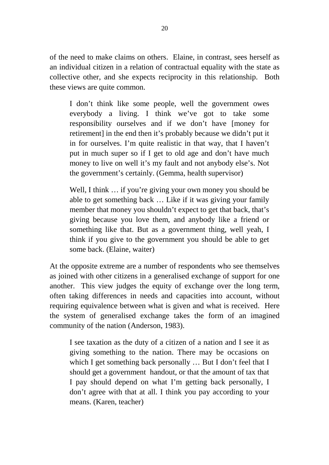of the need to make claims on others. Elaine, in contrast, sees herself as an individual citizen in a relation of contractual equality with the state as collective other, and she expects reciprocity in this relationship. Both these views are quite common.

I don't think like some people, well the government owes everybody a living. I think we've got to take some responsibility ourselves and if we don't have [money for retirement] in the end then it's probably because we didn't put it in for ourselves. I'm quite realistic in that way, that I haven't put in much super so if I get to old age and don't have much money to live on well it's my fault and not anybody else's. Not the government's certainly. (Gemma, health supervisor)

Well, I think ... if you're giving your own money you should be able to get something back … Like if it was giving your family member that money you shouldn't expect to get that back, that's giving because you love them, and anybody like a friend or something like that. But as a government thing, well yeah, I think if you give to the government you should be able to get some back. (Elaine, waiter)

At the opposite extreme are a number of respondents who see themselves as joined with other citizens in a generalised exchange of support for one another. This view judges the equity of exchange over the long term, often taking differences in needs and capacities into account, without requiring equivalence between what is given and what is received. Here the system of generalised exchange takes the form of an imagined community of the nation (Anderson, 1983).

I see taxation as the duty of a citizen of a nation and I see it as giving something to the nation. There may be occasions on which I get something back personally ... But I don't feel that I should get a government handout, or that the amount of tax that I pay should depend on what I'm getting back personally, I don't agree with that at all. I think you pay according to your means. (Karen, teacher)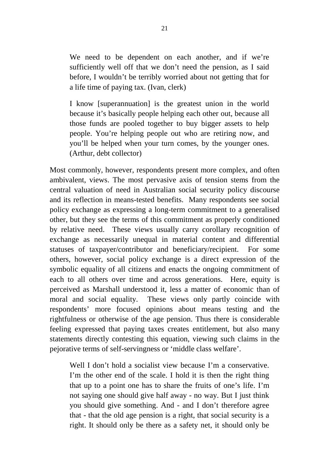We need to be dependent on each another, and if we're sufficiently well off that we don't need the pension, as I said before, I wouldn't be terribly worried about not getting that for a life time of paying tax. (Ivan, clerk)

I know [superannuation] is the greatest union in the world because it's basically people helping each other out, because all those funds are pooled together to buy bigger assets to help people. You're helping people out who are retiring now, and you'll be helped when your turn comes, by the younger ones. (Arthur, debt collector)

Most commonly, however, respondents present more complex, and often ambivalent, views. The most pervasive axis of tension stems from the central valuation of need in Australian social security policy discourse and its reflection in means-tested benefits. Many respondents see social policy exchange as expressing a long-term commitment to a generalised other, but they see the terms of this commitment as properly conditioned by relative need. These views usually carry corollary recognition of exchange as necessarily unequal in material content and differential statuses of taxpayer/contributor and beneficiary/recipient. For some others, however, social policy exchange is a direct expression of the symbolic equality of all citizens and enacts the ongoing commitment of each to all others over time and across generations. Here, equity is perceived as Marshall understood it, less a matter of economic than of moral and social equality. These views only partly coincide with respondents' more focused opinions about means testing and the rightfulness or otherwise of the age pension. Thus there is considerable feeling expressed that paying taxes creates entitlement, but also many statements directly contesting this equation, viewing such claims in the pejorative terms of self-servingness or 'middle class welfare'.

Well I don't hold a socialist view because I'm a conservative. I'm the other end of the scale. I hold it is then the right thing that up to a point one has to share the fruits of one's life. I'm not saying one should give half away - no way. But I just think you should give something. And - and I don't therefore agree that - that the old age pension is a right, that social security is a right. It should only be there as a safety net, it should only be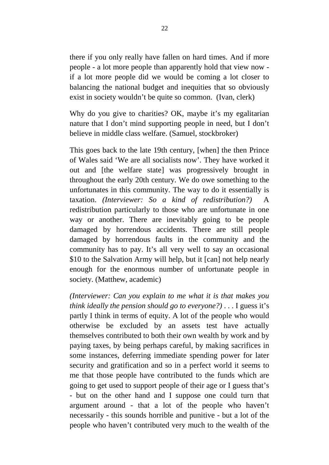there if you only really have fallen on hard times. And if more people - a lot more people than apparently hold that view now if a lot more people did we would be coming a lot closer to balancing the national budget and inequities that so obviously exist in society wouldn't be quite so common. (Ivan, clerk)

Why do you give to charities? OK, maybe it's my egalitarian nature that I don't mind supporting people in need, but I don't believe in middle class welfare. (Samuel, stockbroker)

This goes back to the late 19th century, [when] the then Prince of Wales said 'We are all socialists now'. They have worked it out and [the welfare state] was progressively brought in throughout the early 20th century. We do owe something to the unfortunates in this community. The way to do it essentially is taxation. *(Interviewer: So a kind of redistribution?)* A redistribution particularly to those who are unfortunate in one way or another. There are inevitably going to be people damaged by horrendous accidents. There are still people damaged by horrendous faults in the community and the community has to pay. It's all very well to say an occasional \$10 to the Salvation Army will help, but it [can] not help nearly enough for the enormous number of unfortunate people in society. (Matthew, academic)

*(Interviewer: Can you explain to me what it is that makes you think ideally the pension should go to everyone?)* . . . I guess it's partly I think in terms of equity. A lot of the people who would otherwise be excluded by an assets test have actually themselves contributed to both their own wealth by work and by paying taxes, by being perhaps careful, by making sacrifices in some instances, deferring immediate spending power for later security and gratification and so in a perfect world it seems to me that those people have contributed to the funds which are going to get used to support people of their age or I guess that's - but on the other hand and I suppose one could turn that argument around - that a lot of the people who haven't necessarily - this sounds horrible and punitive - but a lot of the people who haven't contributed very much to the wealth of the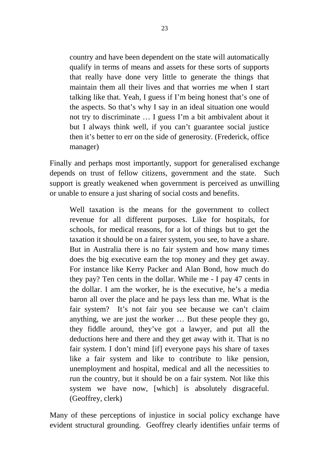country and have been dependent on the state will automatically qualify in terms of means and assets for these sorts of supports that really have done very little to generate the things that maintain them all their lives and that worries me when I start talking like that. Yeah, I guess if I'm being honest that's one of the aspects. So that's why I say in an ideal situation one would not try to discriminate … I guess I'm a bit ambivalent about it but I always think well, if you can't guarantee social justice then it's better to err on the side of generosity. (Frederick, office manager)

Finally and perhaps most importantly, support for generalised exchange depends on trust of fellow citizens, government and the state. Such support is greatly weakened when government is perceived as unwilling or unable to ensure a just sharing of social costs and benefits.

Well taxation is the means for the government to collect revenue for all different purposes. Like for hospitals, for schools, for medical reasons, for a lot of things but to get the taxation it should be on a fairer system, you see, to have a share. But in Australia there is no fair system and how many times does the big executive earn the top money and they get away. For instance like Kerry Packer and Alan Bond, how much do they pay? Ten cents in the dollar. While me - I pay 47 cents in the dollar. I am the worker, he is the executive, he's a media baron all over the place and he pays less than me. What is the fair system? It's not fair you see because we can't claim anything, we are just the worker … But these people they go, they fiddle around, they've got a lawyer, and put all the deductions here and there and they get away with it. That is no fair system. I don't mind [if] everyone pays his share of taxes like a fair system and like to contribute to like pension, unemployment and hospital, medical and all the necessities to run the country, but it should be on a fair system. Not like this system we have now, [which] is absolutely disgraceful. (Geoffrey, clerk)

Many of these perceptions of injustice in social policy exchange have evident structural grounding. Geoffrey clearly identifies unfair terms of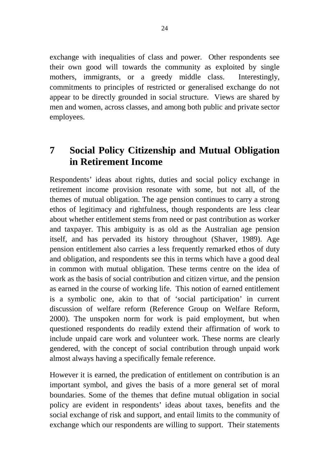exchange with inequalities of class and power. Other respondents see their own good will towards the community as exploited by single mothers, immigrants, or a greedy middle class. Interestingly, commitments to principles of restricted or generalised exchange do not appear to be directly grounded in social structure. Views are shared by men and women, across classes, and among both public and private sector employees.

## **7 Social Policy Citizenship and Mutual Obligation in Retirement Income**

Respondents' ideas about rights, duties and social policy exchange in retirement income provision resonate with some, but not all, of the themes of mutual obligation. The age pension continues to carry a strong ethos of legitimacy and rightfulness, though respondents are less clear about whether entitlement stems from need or past contribution as worker and taxpayer. This ambiguity is as old as the Australian age pension itself, and has pervaded its history throughout (Shaver, 1989). Age pension entitlement also carries a less frequently remarked ethos of duty and obligation, and respondents see this in terms which have a good deal in common with mutual obligation. These terms centre on the idea of work as the basis of social contribution and citizen virtue, and the pension as earned in the course of working life. This notion of earned entitlement is a symbolic one, akin to that of 'social participation' in current discussion of welfare reform (Reference Group on Welfare Reform, 2000). The unspoken norm for work is paid employment, but when questioned respondents do readily extend their affirmation of work to include unpaid care work and volunteer work. These norms are clearly gendered, with the concept of social contribution through unpaid work almost always having a specifically female reference.

However it is earned, the predication of entitlement on contribution is an important symbol, and gives the basis of a more general set of moral boundaries. Some of the themes that define mutual obligation in social policy are evident in respondents' ideas about taxes, benefits and the social exchange of risk and support, and entail limits to the community of exchange which our respondents are willing to support. Their statements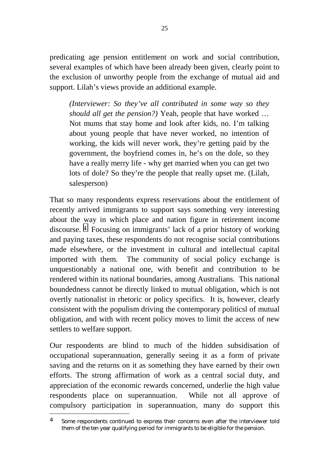predicating age pension entitlement on work and social contribution, several examples of which have been already been given, clearly point to the exclusion of unworthy people from the exchange of mutual aid and support. Lilah's views provide an additional example.

*(Interviewer: So they've all contributed in some way so they should all get the pension?)* Yeah, people that have worked … Not mums that stay home and look after kids, no. I'm talking about young people that have never worked, no intention of working, the kids will never work, they're getting paid by the government, the boyfriend comes in, he's on the dole, so they have a really merry life - why get married when you can get two lots of dole? So they're the people that really upset me. (Lilah, salesperson)

That so many respondents express reservations about the entitlement of recently arrived immigrants to support says something very interesting about the way in which place and nation figure in retirement income discourse. 4 Focusing on immigrants' lack of a prior history of working and paying taxes, these respondents do not recognise social contributions made elsewhere, or the investment in cultural and intellectual capital imported with them. The community of social policy exchange is unquestionably a national one, with benefit and contribution to be rendered within its national boundaries, among Australians. This national boundedness cannot be directly linked to mutual obligation, which is not overtly nationalist in rhetoric or policy specifics. It is, however, clearly consistent with the populism driving the contemporary politicsl of mutual obligation, and with with recent policy moves to limit the access of new settlers to welfare support.

Our respondents are blind to much of the hidden subsidisation of occupational superannuation, generally seeing it as a form of private saving and the returns on it as something they have earned by their own efforts. The strong affirmation of work as a central social duty, and appreciation of the economic rewards concerned, underlie the high value respondents place on superannuation. While not all approve of compulsory participation in superannuation, many do support this

l

<sup>4</sup> Some respondents continued to express their concerns even after the interviewer told them of the ten year qualifying period for immigrants to be eligible for the pension.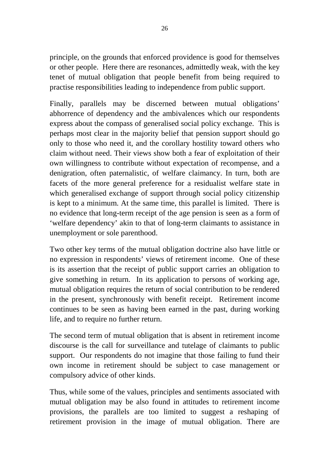principle, on the grounds that enforced providence is good for themselves or other people. Here there are resonances, admittedly weak, with the key tenet of mutual obligation that people benefit from being required to practise responsibilities leading to independence from public support.

Finally, parallels may be discerned between mutual obligations' abhorrence of dependency and the ambivalences which our respondents express about the compass of generalised social policy exchange. This is perhaps most clear in the majority belief that pension support should go only to those who need it, and the corollary hostility toward others who claim without need. Their views show both a fear of exploitation of their own willingness to contribute without expectation of recompense, and a denigration, often paternalistic, of welfare claimancy. In turn, both are facets of the more general preference for a residualist welfare state in which generalised exchange of support through social policy citizenship is kept to a minimum. At the same time, this parallel is limited. There is no evidence that long-term receipt of the age pension is seen as a form of 'welfare dependency' akin to that of long-term claimants to assistance in unemployment or sole parenthood.

Two other key terms of the mutual obligation doctrine also have little or no expression in respondents' views of retirement income. One of these is its assertion that the receipt of public support carries an obligation to give something in return. In its application to persons of working age, mutual obligation requires the return of social contribution to be rendered in the present, synchronously with benefit receipt. Retirement income continues to be seen as having been earned in the past, during working life, and to require no further return.

The second term of mutual obligation that is absent in retirement income discourse is the call for surveillance and tutelage of claimants to public support. Our respondents do not imagine that those failing to fund their own income in retirement should be subject to case management or compulsory advice of other kinds.

Thus, while some of the values, principles and sentiments associated with mutual obligation may be also found in attitudes to retirement income provisions, the parallels are too limited to suggest a reshaping of retirement provision in the image of mutual obligation. There are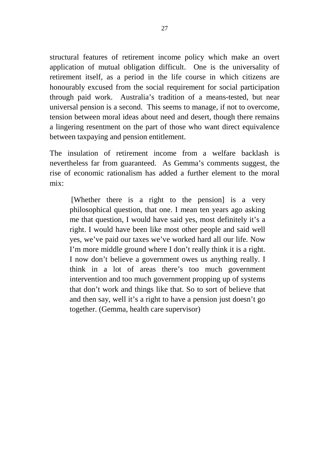structural features of retirement income policy which make an overt application of mutual obligation difficult. One is the universality of retirement itself, as a period in the life course in which citizens are honourably excused from the social requirement for social participation through paid work. Australia's tradition of a means-tested, but near universal pension is a second. This seems to manage, if not to overcome, tension between moral ideas about need and desert, though there remains a lingering resentment on the part of those who want direct equivalence between taxpaying and pension entitlement.

The insulation of retirement income from a welfare backlash is nevertheless far from guaranteed. As Gemma's comments suggest, the rise of economic rationalism has added a further element to the moral mix:

 [Whether there is a right to the pension] is a very philosophical question, that one. I mean ten years ago asking me that question, I would have said yes, most definitely it's a right. I would have been like most other people and said well yes, we've paid our taxes we've worked hard all our life. Now I'm more middle ground where I don't really think it is a right. I now don't believe a government owes us anything really. I think in a lot of areas there's too much government intervention and too much government propping up of systems that don't work and things like that. So to sort of believe that and then say, well it's a right to have a pension just doesn't go together. (Gemma, health care supervisor)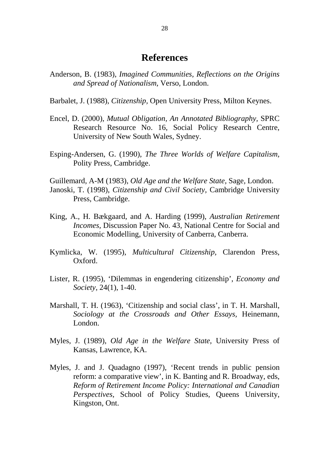#### **References**

- Anderson, B. (1983), *Imagined Communities, Reflections on the Origins and Spread of Nationalism,* Verso, London.
- Barbalet, J. (1988), *Citizenship,* Open University Press, Milton Keynes.
- Encel, D. (2000), *Mutual Obligation, An Annotated Bibliography,* SPRC Research Resource No. 16, Social Policy Research Centre, University of New South Wales, Sydney.
- Esping-Andersen, G. (1990), *The Three Worlds of Welfare Capitalism,* Polity Press, Cambridge.

Guillemard, A-M (1983), *Old Age and the Welfare State,* Sage*,* London. Janoski, T. (1998), *Citizenship and Civil Society,* Cambridge University Press, Cambridge.

- King, A., H. Bækgaard, and A. Harding (1999), *Australian Retirement Incomes,* Discussion Paper No. 43, National Centre for Social and Economic Modelling, University of Canberra, Canberra.
- Kymlicka, W. (1995), *Multicultural Citizenship,* Clarendon Press, Oxford.
- Lister, R. (1995), 'Dilemmas in engendering citizenship', *Economy and Society,* 24(1), 1-40.
- Marshall, T. H. (1963), 'Citizenship and social class', in T. H. Marshall, *Sociology at the Crossroads and Other Essays,* Heinemann, London.
- Myles, J. (1989), *Old Age in the Welfare State,* University Press of Kansas, Lawrence, KA.
- Myles, J. and J. Quadagno (1997), 'Recent trends in public pension reform: a comparative view', in K. Banting and R. Broadway, eds, *Reform of Retirement Income Policy: International and Canadian Perspectives,* School of Policy Studies, Queens University, Kingston, Ont.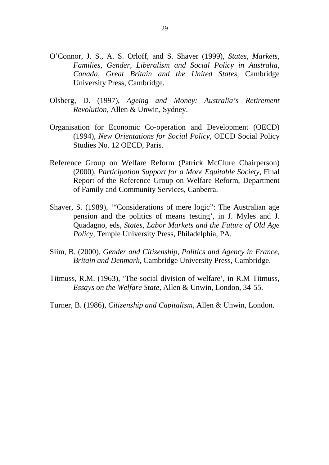- O'Connor, J. S., A. S. Orloff, and S. Shaver (1999), *States, Markets, Families, Gender, Liberalism and Social Policy in Australia, Canada, Great Britain and the United States,* Cambridge University Press, Cambridge.
- Olsberg, D. (1997), *Ageing and Money: Australia's Retirement Revolution,* Allen & Unwin, Sydney.
- Organisation for Economic Co-operation and Development (OECD) (1994), *New Orientations for Social Policy,* OECD Social Policy Studies No. 12 OECD, Paris.
- Reference Group on Welfare Reform (Patrick McClure Chairperson) (2000), *Participation Support for a More Equitable Society*, Final Report of the Reference Group on Welfare Reform, Department of Family and Community Services, Canberra.
- Shaver, S. (1989), '"Considerations of mere logic": The Australian age pension and the politics of means testing', in J. Myles and J. Quadagno, eds, *States, Labor Markets and the Future of Old Age Policy,* Temple University Press, Philadelphia, PA.
- Siim, B. (2000), *Gender and Citizenship, Politics and Agency in France, Britain and Denmark,* Cambridge University Press, Cambridge.
- Titmuss, R.M. (1963), 'The social division of welfare', in R.M Titmuss, *Essays on the Welfare State,* Allen & Unwin, London, 34-55.
- Turner, B. (1986), *Citizenship and Capitalism,* Allen & Unwin, London.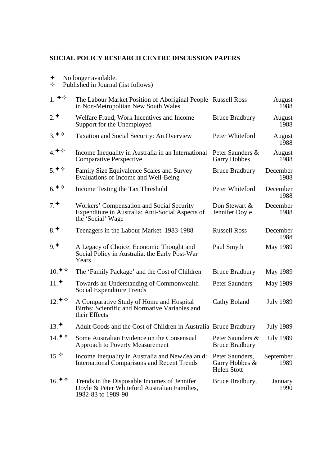#### **SOCIAL POLICY RESEARCH CENTRE DISCUSSION PAPERS**

- ✦ No longer available.
- ✧ Published in Journal (list follows)

| 1. $\blacklozenge \diamond$ | The Labour Market Position of Aboriginal People Russell Ross<br>in Non-Metropolitan New South Wales                |                                                         | August<br>1988    |
|-----------------------------|--------------------------------------------------------------------------------------------------------------------|---------------------------------------------------------|-------------------|
| $2.$ *                      | Welfare Fraud, Work Incentives and Income<br>Support for the Unemployed                                            | <b>Bruce Bradbury</b>                                   | August<br>1988    |
| 3.48                        | <b>Taxation and Social Security: An Overview</b>                                                                   | Peter Whiteford                                         | August<br>1988    |
| $4.$ $\diamond$ $\diamond$  | Income Inequality in Australia in an International<br><b>Comparative Perspective</b>                               | Peter Saunders &<br><b>Garry Hobbes</b>                 | August<br>1988    |
| $5.$ * $\diamond$           | Family Size Equivalence Scales and Survey<br>Evaluations of Income and Well-Being                                  | <b>Bruce Bradbury</b>                                   | December<br>1988  |
| $6.$ * $\diamond$           | Income Testing the Tax Threshold                                                                                   | Peter Whiteford                                         | December<br>1988  |
| 7 <sup>4</sup>              | Workers' Compensation and Social Security<br>Expenditure in Australia: Anti-Social Aspects of<br>the 'Social' Wage | Don Stewart &<br>Jennifer Doyle                         | December<br>1988  |
| $8.$ *                      | Teenagers in the Labour Market: 1983-1988                                                                          | <b>Russell Ross</b>                                     | December<br>1988  |
| 9 <sup>4</sup>              | A Legacy of Choice: Economic Thought and<br>Social Policy in Australia, the Early Post-War<br>Years                | Paul Smyth                                              | May 1989          |
| $10.$ * $\diamond$          | The 'Family Package' and the Cost of Children                                                                      | <b>Bruce Bradbury</b>                                   | May 1989          |
| $11.$ *                     | Towards an Understanding of Commonwealth<br>Social Expenditure Trends                                              | <b>Peter Saunders</b>                                   | May 1989          |
| $12.$ * $\diamond$          | A Comparative Study of Home and Hospital<br>Births: Scientific and Normative Variables and<br>their Effects        | Cathy Boland                                            | <b>July 1989</b>  |
| $13.$ *                     | Adult Goods and the Cost of Children in Australia Bruce Bradbury                                                   |                                                         | <b>July 1989</b>  |
| 14. $\leftrightarrow$       | Some Australian Evidence on the Consensual<br><b>Approach to Poverty Measurement</b>                               | Peter Saunders &<br><b>Bruce Bradbury</b>               | <b>July 1989</b>  |
| $15^{\diamond}$             | Income Inequality in Australia and NewZealan d:<br><b>International Comparisons and Recent Trends</b>              | Peter Saunders,<br>Garry Hobbes &<br><b>Helen Stott</b> | September<br>1989 |
| $16.$ * $\diamond$          | Trends in the Disposable Incomes of Jennifer<br>Doyle & Peter Whiteford Australian Families,<br>1982-83 to 1989-90 | Bruce Bradbury,                                         | January<br>1990   |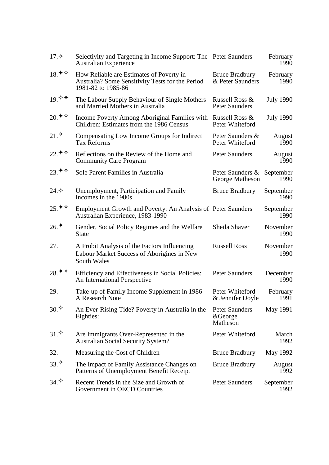| 17.                                                    | Selectivity and Targeting in Income Support: The Peter Saunders<br><b>Australian Experience</b>                    |                                           | February<br>1990  |
|--------------------------------------------------------|--------------------------------------------------------------------------------------------------------------------|-------------------------------------------|-------------------|
| 18. $\blacklozenge \diamond$                           | How Reliable are Estimates of Poverty in<br>Australia? Some Sensitivity Tests for the Period<br>1981-82 to 1985-86 | <b>Bruce Bradbury</b><br>& Peter Saunders | February<br>1990  |
| 19. ♦                                                  | The Labour Supply Behaviour of Single Mothers<br>and Married Mothers in Australia                                  | Russell Ross &<br><b>Peter Saunders</b>   | <b>July 1990</b>  |
| $20.$ <sup><math>\blacklozenge</math></sup> $\diamond$ | Income Poverty Among Aboriginal Families with<br>Children: Estimates from the 1986 Census                          | Russell Ross &<br>Peter Whiteford         | <b>July 1990</b>  |
| 21.                                                    | Compensating Low Income Groups for Indirect<br><b>Tax Reforms</b>                                                  | Peter Saunders &<br>Peter Whiteford       | August<br>1990    |
| 22. ♦ ♦                                                | Reflections on the Review of the Home and<br><b>Community Care Program</b>                                         | Peter Saunders                            | August<br>1990    |
| 23. $\blacklozenge \diamond$                           | Sole Parent Families in Australia                                                                                  | Peter Saunders &<br>George Matheson       | September<br>1990 |
| 24.                                                    | Unemployment, Participation and Family<br>Incomes in the 1980s                                                     | <b>Bruce Bradbury</b>                     | September<br>1990 |
| $25.$ <sup>→◇</sup>                                    | Employment Growth and Poverty: An Analysis of Peter Saunders<br>Australian Experience, 1983-1990                   |                                           | September<br>1990 |
| 26.                                                    | Gender, Social Policy Regimes and the Welfare<br><b>State</b>                                                      | Sheila Shaver                             | November<br>1990  |
| 27.                                                    | A Probit Analysis of the Factors Influencing<br>Labour Market Success of Aborigines in New<br>South Wales          | <b>Russell Ross</b>                       | November<br>1990  |
| $28.$ <sup>→ <math>\diamond</math></sup>               | Efficiency and Effectiveness in Social Policies:<br>An International Perspective                                   | <b>Peter Saunders</b>                     | December<br>1990  |
| 29.                                                    | Take-up of Family Income Supplement in 1986 -<br>A Research Note                                                   | Peter Whiteford<br>& Jennifer Doyle       | February<br>1991  |
| 30.                                                    | An Ever-Rising Tide? Poverty in Australia in the<br>Eighties:                                                      | Peter Saunders<br>&George<br>Matheson     | May 1991          |
| 31.                                                    | Are Immigrants Over-Represented in the<br><b>Australian Social Security System?</b>                                | Peter Whiteford                           | March<br>1992     |
| 32.                                                    | Measuring the Cost of Children                                                                                     | <b>Bruce Bradbury</b>                     | May 1992          |
| 33.                                                    | The Impact of Family Assistance Changes on<br>Patterns of Unemployment Benefit Receipt                             | <b>Bruce Bradbury</b>                     | August<br>1992    |
| 34.                                                    | Recent Trends in the Size and Growth of<br>Government in OECD Countries                                            | <b>Peter Saunders</b>                     | September<br>1992 |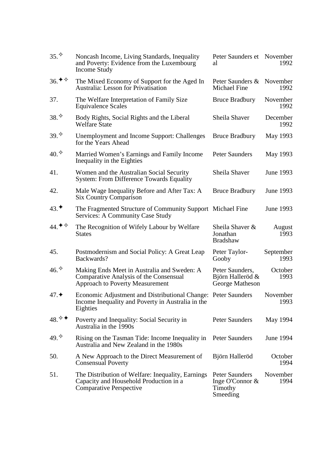| 35.                | Noncash Income, Living Standards, Inequality<br>and Poverty: Evidence from the Luxembourg<br>Income Study                       | Peter Saunders et November<br>al                           | 1992              |
|--------------------|---------------------------------------------------------------------------------------------------------------------------------|------------------------------------------------------------|-------------------|
| $36.$ * $\diamond$ | The Mixed Economy of Support for the Aged In<br><b>Australia: Lesson for Privatisation</b>                                      | Peter Saunders &<br><b>Michael Fine</b>                    | November<br>1992  |
| 37.                | The Welfare Interpretation of Family Size<br>Equivalence Scales                                                                 | <b>Bruce Bradbury</b>                                      | November<br>1992  |
| 38.                | Body Rights, Social Rights and the Liberal<br><b>Welfare State</b>                                                              | Sheila Shaver                                              | December<br>1992  |
| 39.                | <b>Unemployment and Income Support: Challenges</b><br>for the Years Ahead                                                       | <b>Bruce Bradbury</b>                                      | May 1993          |
| 40.                | Married Women's Earnings and Family Income<br>Inequality in the Eighties                                                        | <b>Peter Saunders</b>                                      | May 1993          |
| 41.                | Women and the Australian Social Security<br><b>System: From Difference Towards Equality</b>                                     | Sheila Shaver                                              | June 1993         |
| 42.                | Male Wage Inequality Before and After Tax: A<br><b>Six Country Comparison</b>                                                   | <b>Bruce Bradbury</b>                                      | June 1993         |
| $43.$ *            | The Fragmented Structure of Community Support Michael Fine<br><b>Services: A Community Case Study</b>                           |                                                            | <b>June 1993</b>  |
| 44. ♦ ♦            | The Recognition of Wifely Labour by Welfare<br><b>States</b>                                                                    | Sheila Shaver &<br>Jonathan<br><b>Bradshaw</b>             | August<br>1993    |
| 45.                | Postmodernism and Social Policy: A Great Leap<br>Backwards?                                                                     | Peter Taylor-<br>Gooby                                     | September<br>1993 |
| 46.                | Making Ends Meet in Australia and Sweden: A<br>Comparative Analysis of the Consensual<br><b>Approach to Poverty Measurement</b> | Peter Saunders,<br>Björn Halleröd &<br>George Matheson     | October<br>1993   |
| 47.                | Economic Adjustment and Distributional Change: Peter Saunders<br>Income Inequality and Poverty in Australia in the<br>Eighties  |                                                            | November<br>1993  |
| 48.                | Poverty and Inequality: Social Security in<br>Australia in the 1990s                                                            | <b>Peter Saunders</b>                                      | May 1994          |
| 49.                | Rising on the Tasman Tide: Income Inequality in<br>Australia and New Zealand in the 1980s                                       | Peter Saunders                                             | June 1994         |
| 50.                | A New Approach to the Direct Measurement of<br><b>Consensual Poverty</b>                                                        | Björn Halleröd                                             | October<br>1994   |
| 51.                | The Distribution of Welfare: Inequality, Earnings<br>Capacity and Household Production in a<br><b>Comparative Perspective</b>   | Peter Saunders<br>Inge O'Connor $&$<br>Timothy<br>Smeeding | November<br>1994  |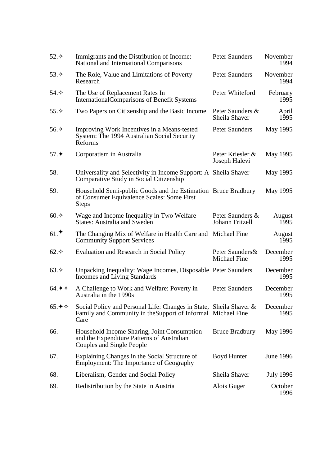| $52.\diamond$               | Immigrants and the Distribution of Income:<br>National and International Comparisons                                                       | <b>Peter Saunders</b>                   | November<br>1994 |
|-----------------------------|--------------------------------------------------------------------------------------------------------------------------------------------|-----------------------------------------|------------------|
| 53. $\diamond$              | The Role, Value and Limitations of Poverty<br>Research                                                                                     | <b>Peter Saunders</b>                   | November<br>1994 |
| 54. $\diamond$              | The Use of Replacement Rates In<br>International Comparisons of Benefit Systems                                                            | Peter Whiteford                         | February<br>1995 |
| 55. $\diamond$              | Two Papers on Citizenship and the Basic Income                                                                                             | Peter Saunders &<br>Sheila Shaver       | April<br>1995    |
| 56. $\diamond$              | Improving Work Incentives in a Means-tested<br>System: The 1994 Australian Social Security<br>Reforms                                      | <b>Peter Saunders</b>                   | May 1995         |
| 57.                         | Corporatism in Australia                                                                                                                   | Peter Kriesler &<br>Joseph Halevi       | May 1995         |
| 58.                         | Universality and Selectivity in Income Support: A Sheila Shaver<br>Comparative Study in Social Citizenship                                 |                                         | May 1995         |
| 59.                         | Household Semi-public Goods and the Estimation Bruce Bradbury<br>of Consumer Equivalence Scales: Some First<br><b>Steps</b>                |                                         | May 1995         |
| $60.\diamondsuit$           | Wage and Income Inequality in Two Welfare<br><b>States: Australia and Sweden</b>                                                           | Peter Saunders &<br>Johann Fritzell     | August<br>1995   |
| 61.                         | The Changing Mix of Welfare in Health Care and<br><b>Community Support Services</b>                                                        | Michael Fine                            | August<br>1995   |
| $62.\diamond$               | Evaluation and Research in Social Policy                                                                                                   | Peter Saunders &<br><b>Michael Fine</b> | December<br>1995 |
| 63.                         | Unpacking Inequality: Wage Incomes, Disposable Peter Saunders<br><b>Incomes and Living Standards</b>                                       |                                         | December<br>1995 |
| $64.$ $\diamond$ $\diamond$ | A Challenge to Work and Welfare: Poverty in<br>Australia in the 1990s                                                                      | Peter Saunders                          | December<br>1995 |
| 65. ♦ $\diamondsuit$        | Social Policy and Personal Life: Changes in State, Sheila Shaver &<br>Family and Community in the Support of Informal Michael Fine<br>Care |                                         | December<br>1995 |
| 66.                         | Household Income Sharing, Joint Consumption<br>and the Expenditure Patterns of Australian<br>Couples and Single People                     | <b>Bruce Bradbury</b>                   | May 1996         |
| 67.                         | Explaining Changes in the Social Structure of<br>Employment: The Importance of Geography                                                   | Boyd Hunter                             | <b>June 1996</b> |
| 68.                         | Liberalism, Gender and Social Policy                                                                                                       | Sheila Shaver                           | <b>July 1996</b> |
| 69.                         | Redistribution by the State in Austria                                                                                                     | Alois Guger                             | October<br>1996  |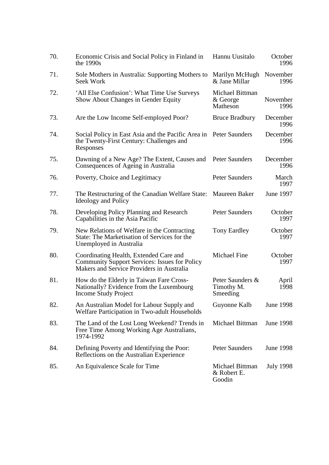| 70. | Economic Crisis and Social Policy in Finland in<br>the $1990s$                                                                              | Hannu Uusitalo                             | October<br>1996  |
|-----|---------------------------------------------------------------------------------------------------------------------------------------------|--------------------------------------------|------------------|
| 71. | Sole Mothers in Australia: Supporting Mothers to<br>Seek Work                                                                               | Marilyn McHugh<br>& Jane Millar            | November<br>1996 |
| 72. | 'All Else Confusion': What Time Use Surveys<br>Show About Changes in Gender Equity                                                          | Michael Bittman<br>& George<br>Matheson    | November<br>1996 |
| 73. | Are the Low Income Self-employed Poor?                                                                                                      | <b>Bruce Bradbury</b>                      | December<br>1996 |
| 74. | Social Policy in East Asia and the Pacific Area in Peter Saunders<br>the Twenty-First Century: Challenges and<br>Responses                  |                                            | December<br>1996 |
| 75. | Dawning of a New Age? The Extent, Causes and<br>Consequences of Ageing in Australia                                                         | Peter Saunders                             | December<br>1996 |
| 76. | Poverty, Choice and Legitimacy                                                                                                              | <b>Peter Saunders</b>                      | March<br>1997    |
| 77. | The Restructuring of the Canadian Welfare State:<br><b>Ideology and Policy</b>                                                              | Maureen Baker                              | <b>June 1997</b> |
| 78. | Developing Policy Planning and Research<br>Capabilities in the Asia Pacific                                                                 | <b>Peter Saunders</b>                      | October<br>1997  |
| 79. | New Relations of Welfare in the Contracting<br>State: The Marketisation of Services for the<br>Unemployed in Australia                      | Tony Eardley                               | October<br>1997  |
| 80. | Coordinating Health, Extended Care and<br><b>Community Support Services: Issues for Policy</b><br>Makers and Service Providers in Australia | <b>Michael Fine</b>                        | October<br>1997  |
| 81. | How do the Elderly in Taiwan Fare Cross-<br>Nationally? Evidence from the Luxembourg<br><b>Income Study Project</b>                         | Peter Saunders &<br>Timothy M.<br>Smeeding | April<br>1998    |
| 82. | An Australian Model for Labour Supply and<br>Welfare Participation in Two-adult Households                                                  | Guyonne Kalb                               | <b>June 1998</b> |
| 83. | The Land of the Lost Long Weekend? Trends in<br>Free Time Among Working Age Australians,<br>1974-1992                                       | Michael Bittman                            | <b>June 1998</b> |
| 84. | Defining Poverty and Identifying the Poor:<br>Reflections on the Australian Experience                                                      | <b>Peter Saunders</b>                      | <b>June 1998</b> |
| 85. | An Equivalence Scale for Time                                                                                                               | Michael Bittman<br>& Robert E.<br>Goodin   | <b>July 1998</b> |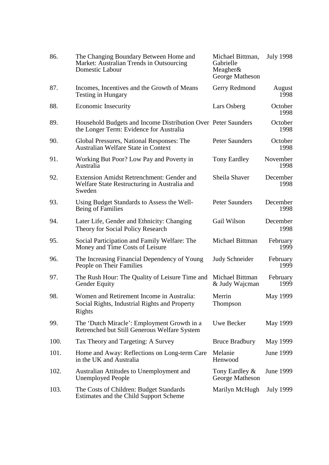| 86.  | The Changing Boundary Between Home and<br>Market: Australian Trends in Outsourcing<br><b>Domestic Labour</b> | Michael Bittman,<br>Gabrielle<br>Meagher $\&$<br>George Matheson | <b>July 1998</b> |
|------|--------------------------------------------------------------------------------------------------------------|------------------------------------------------------------------|------------------|
| 87.  | Incomes, Incentives and the Growth of Means<br><b>Testing in Hungary</b>                                     | Gerry Redmond                                                    | August<br>1998   |
| 88.  | <b>Economic Insecurity</b>                                                                                   | Lars Osberg                                                      | October<br>1998  |
| 89.  | Household Budgets and Income Distribution Over Peter Saunders<br>the Longer Term: Evidence for Australia     |                                                                  | October<br>1998  |
| 90.  | Global Pressures, National Responses: The<br><b>Australian Welfare State in Context</b>                      | Peter Saunders                                                   | October<br>1998  |
| 91.  | Working But Poor? Low Pay and Poverty in<br>Australia                                                        | Tony Eardley                                                     | November<br>1998 |
| 92.  | Extension Amidst Retrenchment: Gender and<br>Welfare State Restructuring in Australia and<br>Sweden          | Sheila Shaver                                                    | December<br>1998 |
| 93.  | Using Budget Standards to Assess the Well-<br>Being of Families                                              | <b>Peter Saunders</b>                                            | December<br>1998 |
| 94.  | Later Life, Gender and Ethnicity: Changing<br>Theory for Social Policy Research                              | Gail Wilson                                                      | December<br>1998 |
| 95.  | Social Participation and Family Welfare: The<br>Money and Time Costs of Leisure                              | Michael Bittman                                                  | February<br>1999 |
| 96.  | The Increasing Financial Dependency of Young<br>People on Their Families                                     | Judy Schneider                                                   | February<br>1999 |
| 97.  | The Rush Hour: The Quality of Leisure Time and<br><b>Gender Equity</b>                                       | Michael Bittman<br>& Judy Wajcman                                | February<br>1999 |
| 98.  | Women and Retirement Income in Australia:<br>Social Rights, Industrial Rights and Property<br>Rights         | Merrin<br>Thompson                                               | May 1999         |
| 99.  | The 'Dutch Miracle': Employment Growth in a<br>Retrenched but Still Generous Welfare System                  | Uwe Becker                                                       | May 1999         |
| 100. | Tax Theory and Targeting: A Survey                                                                           | <b>Bruce Bradbury</b>                                            | May 1999         |
| 101. | Home and Away: Reflections on Long-term Care<br>in the UK and Australia                                      | Melanie<br>Henwood                                               | June 1999        |
| 102. | Australian Attitudes to Unemployment and<br><b>Unemployed People</b>                                         | Tony Eardley $\&$<br>George Matheson                             | <b>June 1999</b> |
| 103. | The Costs of Children: Budget Standards<br>Estimates and the Child Support Scheme                            | Marilyn McHugh                                                   | <b>July 1999</b> |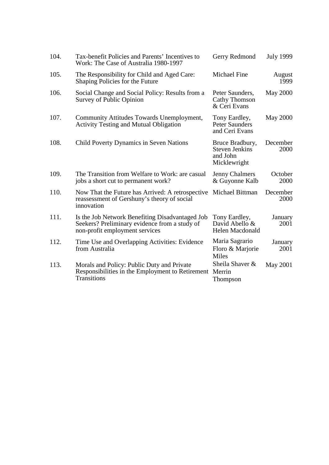| 104. | Tax-benefit Policies and Parents' Incentives to<br>Work: The Case of Australia 1980-1997                                           | Gerry Redmond                                                        | <b>July 1999</b> |
|------|------------------------------------------------------------------------------------------------------------------------------------|----------------------------------------------------------------------|------------------|
| 105. | The Responsibility for Child and Aged Care:<br>Shaping Policies for the Future                                                     | <b>Michael Fine</b>                                                  | August<br>1999   |
| 106. | Social Change and Social Policy: Results from a<br><b>Survey of Public Opinion</b>                                                 | Peter Saunders,<br><b>Cathy Thomson</b><br>& Ceri Evans              | <b>May 2000</b>  |
| 107. | Community Attitudes Towards Unemployment,<br><b>Activity Testing and Mutual Obligation</b>                                         | Tony Eardley,<br><b>Peter Saunders</b><br>and Ceri Evans             | <b>May 2000</b>  |
| 108. | Child Poverty Dynamics in Seven Nations                                                                                            | Bruce Bradbury,<br><b>Steven Jenkins</b><br>and John<br>Micklewright | December<br>2000 |
| 109. | The Transition from Welfare to Work: are casual<br>jobs a short cut to permanent work?                                             | <b>Jenny Chalmers</b><br>& Guyonne Kalb                              | October<br>2000  |
| 110. | Now That the Future has Arrived: A retrospective<br>reassessment of Gershuny's theory of social<br>innovation                      | Michael Bittman                                                      | December<br>2000 |
| 111. | Is the Job Network Benefiting Disadvantaged Job<br>Seekers? Preliminary evidence from a study of<br>non-profit employment services | Tony Eardley,<br>David Abello &<br>Helen Macdonald                   | January<br>2001  |
| 112. | Time Use and Overlapping Activities: Evidence<br>from Australia                                                                    | Maria Sagrario<br>Floro & Marjorie<br><b>Miles</b>                   | January<br>2001  |
| 113. | Morals and Policy: Public Duty and Private<br>Responsibilities in the Employment to Retirement<br><b>Transitions</b>               | Sheila Shaver &<br>Merrin<br>Thompson                                | May 2001         |
|      |                                                                                                                                    |                                                                      |                  |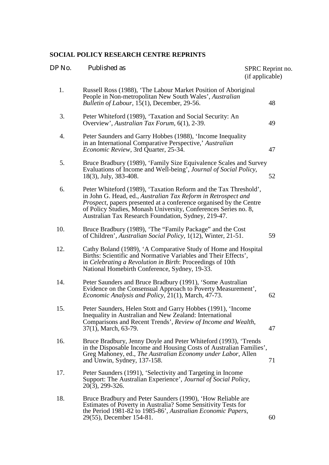#### **SOCIAL POLICY RESEARCH CENTRE REPRINTS**

| DP No. | Published as                                                                                                                                                                                                                                                                                                                      | SPRC Reprint no.<br>(if applicable) |
|--------|-----------------------------------------------------------------------------------------------------------------------------------------------------------------------------------------------------------------------------------------------------------------------------------------------------------------------------------|-------------------------------------|
| 1.     | Russell Ross (1988), 'The Labour Market Position of Aboriginal<br>People in Non-metropolitan New South Wales', Australian<br>Bulletin of Labour, 15(1), December, 29-56.                                                                                                                                                          | 48                                  |
| 3.     | Peter Whiteford (1989), 'Taxation and Social Security: An<br>Overview', Australian Tax Forum, 6(1), 2-39.                                                                                                                                                                                                                         | 49                                  |
| 4.     | Peter Saunders and Garry Hobbes (1988), 'Income Inequality<br>in an International Comparative Perspective,' Australian<br>Economic Review, 3rd Quarter, 25-34.                                                                                                                                                                    | 47                                  |
| 5.     | Bruce Bradbury (1989), 'Family Size Equivalence Scales and Survey<br>Evaluations of Income and Well-being', Journal of Social Policy,<br>18(3), July, 383-408.                                                                                                                                                                    | 52                                  |
| 6.     | Peter Whiteford (1989), 'Taxation Reform and the Tax Threshold',<br>in John G. Head, ed., Australian Tax Reform in Retrospect and<br>Prospect, papers presented at a conference organised by the Centre<br>of Policy Studies, Monash University, Conferences Series no. 8,<br>Australian Tax Research Foundation, Sydney, 219-47. |                                     |
| 10.    | Bruce Bradbury (1989), 'The "Family Package" and the Cost<br>of Children', Australian Social Policy, 1(12), Winter, 21-51.                                                                                                                                                                                                        | 59                                  |
| 12.    | Cathy Boland (1989), 'A Comparative Study of Home and Hospital<br>Births: Scientific and Normative Variables and Their Effects',<br>in Celebrating a Revolution in Birth: Proceedings of 10th<br>National Homebirth Conference, Sydney, 19-33.                                                                                    |                                     |
| 14.    | Peter Saunders and Bruce Bradbury (1991), 'Some Australian<br>Evidence on the Consensual Approach to Poverty Measurement',<br>Economic Analysis and Policy, 21(1), March, 47-73.                                                                                                                                                  | 62                                  |
| 15.    | Peter Saunders, Helen Stott and Garry Hobbes (1991), 'Income<br>Inequality in Australian and New Zealand: International<br>Comparisons and Recent Trends', Review of Income and Wealth,<br>37(1), March, 63-79.                                                                                                                   | 47                                  |
| 16.    | Bruce Bradbury, Jenny Doyle and Peter Whiteford (1993), 'Trends<br>in the Disposable Income and Housing Costs of Australian Families',<br>Greg Mahoney, ed., The Australian Economy under Labor, Allen<br>and Unwin, Sydney, 137-158.                                                                                             | 71                                  |
| 17.    | Peter Saunders (1991), 'Selectivity and Targeting in Income<br>Support: The Australian Experience', Journal of Social Policy,<br>20(3), 299-326.                                                                                                                                                                                  |                                     |
| 18.    | Bruce Bradbury and Peter Saunders (1990), 'How Reliable are<br>Estimates of Poverty in Australia? Some Sensitivity Tests for<br>the Period 1981-82 to 1985-86', Australian Economic Papers,<br>29(55), December 154-81.                                                                                                           | 60                                  |
|        |                                                                                                                                                                                                                                                                                                                                   |                                     |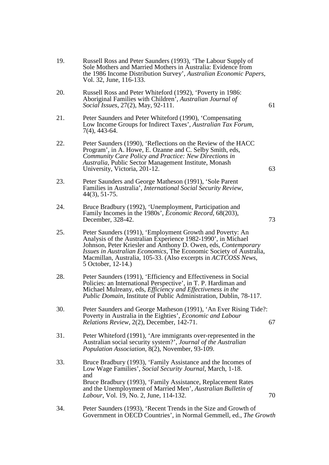- 19. Russell Ross and Peter Saunders (1993), 'The Labour Supply of Sole Mothers and Married Mothers in Australia: Evidence from the 1986 Income Distribution Survey', *Australian Economic Papers*, Vol. 32, June, 116-133.
- 20. Russell Ross and Peter Whiteford (1992), 'Poverty in 1986: Aboriginal Families with Children', *Australian Journal of Social Issues*, 27(2), May, 92-111. 61
- 21. Peter Saunders and Peter Whiteford (1990), 'Compensating Low Income Groups for Indirect Taxes', *Australian Tax Forum*, 7(4), 443-64.
- 22. Peter Saunders (1990), 'Reflections on the Review of the HACC Program', in A. Howe, E. Ozanne and C. Selby Smith, eds, *Community Care Policy and Practice: New Directions in Australia*, Public Sector Management Institute, Monash University, Victoria, 201-12. 63
- 23. Peter Saunders and George Matheson (1991), 'Sole Parent Families in Australia', *International Social Security Review*, 44(3), 51-75.
- 24. Bruce Bradbury (1992), 'Unemployment, Participation and Family Incomes in the 1980s', *Economic Record*, 68(203), December, 328-42. 73
- 25. Peter Saunders (1991), 'Employment Growth and Poverty: An Analysis of the Australian Experience 1982-1990', in Michael Johnson, Peter Kriesler and Anthony D. Owen, eds, *Contemporary Issues in Australian Economics*, The Economic Society of Australia, Macmillan, Australia, 105-33. (Also excerpts in *ACTCOSS News*, 5 October, 12-14.)
- 28. Peter Saunders (1991), 'Efficiency and Effectiveness in Social Policies: an International Perspective', in T. P. Hardiman and Michael Mulreany, eds, *Efficiency and Effectiveness in the Public Domain*, Institute of Public Administration, Dublin, 78-117.
- 30. Peter Saunders and George Matheson (1991), 'An Ever Rising Tide?: Poverty in Australia in the Eighties', *Economic and Labour Relations Review, 2(2), December, 142-71.* 67
- 31. Peter Whiteford (1991), 'Are immigrants over-represented in the Australian social security system?', *Journal of the Australian Population Association*, 8(2), November, 93-109.
- 33. Bruce Bradbury (1993), 'Family Assistance and the Incomes of Low Wage Families', *Social Security Journal*, March, 1-18. and Bruce Bradbury (1993), 'Family Assistance, Replacement Rates and the Unemployment of Married Men', *Australian Bulletin of Labour*, Vol. 19, No. 2, June, 114-132. 70
- 34. Peter Saunders (1993), 'Recent Trends in the Size and Growth of Government in OECD Countries', in Normal Gemmell, ed., *The Growth*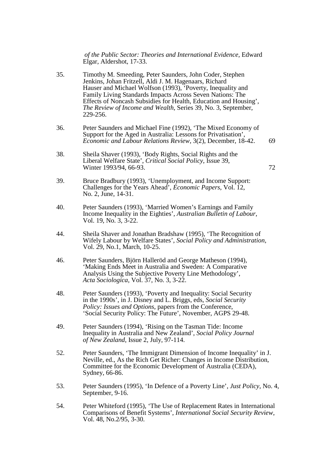*of the Public Sector: Theories and International Evidence*, Edward Elgar, Aldershot, 17-33.

- 35. Timothy M. Smeeding, Peter Saunders, John Coder, Stephen Jenkins, Johan Fritzell, Aldi J. M. Hagenaars, Richard Hauser and Michael Wolfson (1993), 'Poverty, Inequality and Family Living Standards Impacts Across Seven Nations: The Effects of Noncash Subsidies for Health, Education and Housing', *The Review of Income and Wealth*, Series 39, No. 3, September, 229-256.
- 36. Peter Saunders and Michael Fine (1992), 'The Mixed Economy of Support for the Aged in Australia: Lessons for Privatisation', *Economic and Labour Relations Review*, 3(2), December, 18-42. 69
- 38. Sheila Shaver (1993), 'Body Rights, Social Rights and the Liberal Welfare State', *Critical Social Policy*, Issue 39, Winter 1993/94, 66-93. 72
- 39. Bruce Bradbury (1993), 'Unemployment, and Income Support: Challenges for the Years Ahead', *Economic Papers*, Vol. 12, No. 2, June, 14-31.
- 40. Peter Saunders (1993), 'Married Women's Earnings and Family Income Inequality in the Eighties', *Australian Bulletin of Labour*, Vol. 19, No. 3, 3-22.
- 44. Sheila Shaver and Jonathan Bradshaw (1995), 'The Recognition of Wifely Labour by Welfare States', *Social Policy and Administration*, Vol. 29, No.1, March, 10-25.
- 46. Peter Saunders, Björn Halleröd and George Matheson (1994), 'Making Ends Meet in Australia and Sweden: A Comparative Analysis Using the Subjective Poverty Line Methodology', *Acta Sociologica*, Vol. 37, No. 3, 3-22.
- 48. Peter Saunders (1993), 'Poverty and Inequality: Social Security in the 1990s', in J. Disney and L. Briggs, eds, *Social Security Policy: Issues and Options*, papers from the Conference, 'Social Security Policy: The Future', November, AGPS 29-48.
- 49. Peter Saunders (1994), 'Rising on the Tasman Tide: Income Inequality in Australia and New Zealand', *Social Policy Journal of New Zealand*, Issue 2, July, 97-114.
- 52. Peter Saunders, 'The Immigrant Dimension of Income Inequality' in J. Neville, ed., As the Rich Get Richer: Changes in Income Distribution, Committee for the Economic Development of Australia (CEDA), Sydney, 66-86.
- 53. Peter Saunders (1995), 'In Defence of a Poverty Line', *Just Policy*, No. 4, September, 9-16.
- 54. Peter Whiteford (1995), 'The Use of Replacement Rates in International Comparisons of Benefit Systems', *International Social Security Review*, Vol. 48, No.2/95, 3-30.